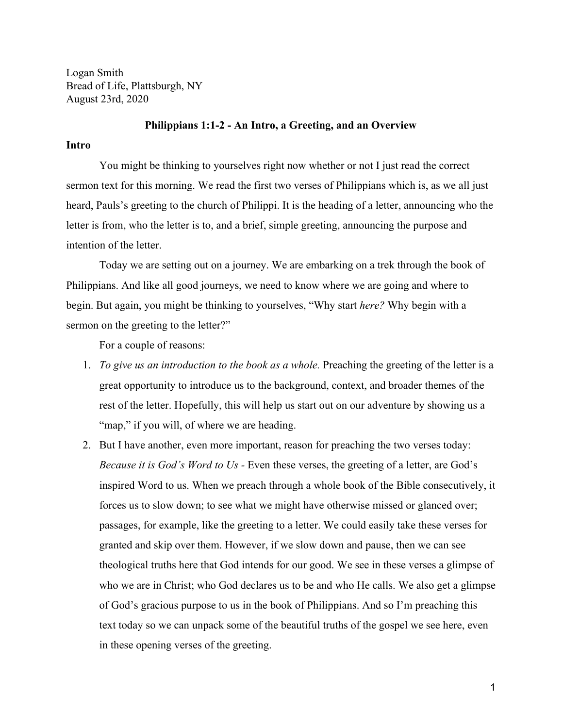Logan Smith Bread of Life, Plattsburgh, NY August 23rd, 2020

#### **Philippians 1:1-2 - An Intro, a Greeting, and an Overview**

## **Intro**

You might be thinking to yourselves right now whether or not I just read the correct sermon text for this morning. We read the first two verses of Philippians which is, as we all just heard, Pauls's greeting to the church of Philippi. It is the heading of a letter, announcing who the letter is from, who the letter is to, and a brief, simple greeting, announcing the purpose and intention of the letter.

Today we are setting out on a journey. We are embarking on a trek through the book of Philippians. And like all good journeys, we need to know where we are going and where to begin. But again, you might be thinking to yourselves, "Why start *here?* Why begin with a sermon on the greeting to the letter?"

For a couple of reasons:

- 1. *To give us an introduction to the book as a whole.* Preaching the greeting of the letter is a great opportunity to introduce us to the background, context, and broader themes of the rest of the letter. Hopefully, this will help us start out on our adventure by showing us a "map," if you will, of where we are heading.
- 2. But I have another, even more important, reason for preaching the two verses today: *Because it is God's Word to Us -* Even these verses, the greeting of a letter, are God's inspired Word to us. When we preach through a whole book of the Bible consecutively, it forces us to slow down; to see what we might have otherwise missed or glanced over; passages, for example, like the greeting to a letter. We could easily take these verses for granted and skip over them. However, if we slow down and pause, then we can see theological truths here that God intends for our good. We see in these verses a glimpse of who we are in Christ; who God declares us to be and who He calls. We also get a glimpse of God's gracious purpose to us in the book of Philippians. And so I'm preaching this text today so we can unpack some of the beautiful truths of the gospel we see here, even in these opening verses of the greeting.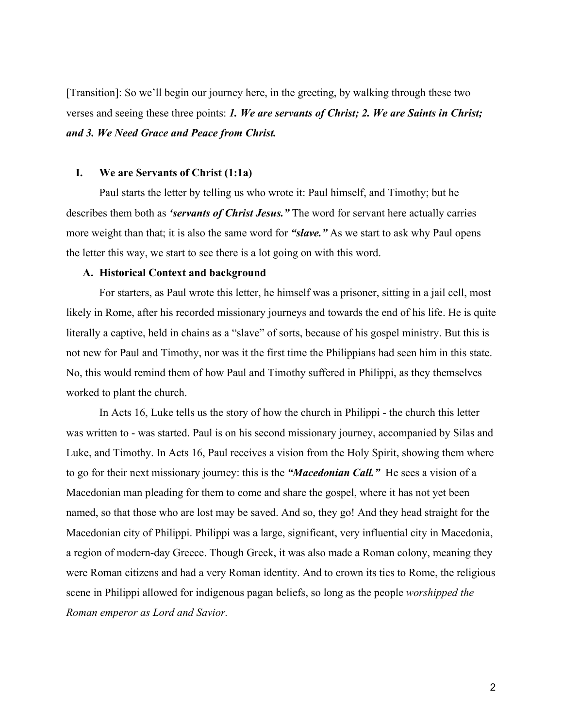[Transition]: So we'll begin our journey here, in the greeting, by walking through these two verses and seeing these three points: *1. We are servants of Christ; 2. We are Saints in Christ; and 3. We Need Grace and Peace from Christ.*

# **I. We are Servants of Christ (1:1a)**

Paul starts the letter by telling us who wrote it: Paul himself, and Timothy; but he describes them both as *'servants of Christ Jesus."* The word for servant here actually carries more weight than that; it is also the same word for *"slave."* As we start to ask why Paul opens the letter this way, we start to see there is a lot going on with this word.

# **A. Historical Context and background**

For starters, as Paul wrote this letter, he himself was a prisoner, sitting in a jail cell, most likely in Rome, after his recorded missionary journeys and towards the end of his life. He is quite literally a captive, held in chains as a "slave" of sorts, because of his gospel ministry. But this is not new for Paul and Timothy, nor was it the first time the Philippians had seen him in this state. No, this would remind them of how Paul and Timothy suffered in Philippi, as they themselves worked to plant the church.

In Acts 16, Luke tells us the story of how the church in Philippi - the church this letter was written to - was started. Paul is on his second missionary journey, accompanied by Silas and Luke, and Timothy. In Acts 16, Paul receives a vision from the Holy Spirit, showing them where to go for their next missionary journey: this is the *"Macedonian Call."* He sees a vision of a Macedonian man pleading for them to come and share the gospel, where it has not yet been named, so that those who are lost may be saved. And so, they go! And they head straight for the Macedonian city of Philippi. Philippi was a large, significant, very influential city in Macedonia, a region of modern-day Greece. Though Greek, it was also made a Roman colony, meaning they were Roman citizens and had a very Roman identity. And to crown its ties to Rome, the religious scene in Philippi allowed for indigenous pagan beliefs, so long as the people *worshipped the Roman emperor as Lord and Savior.*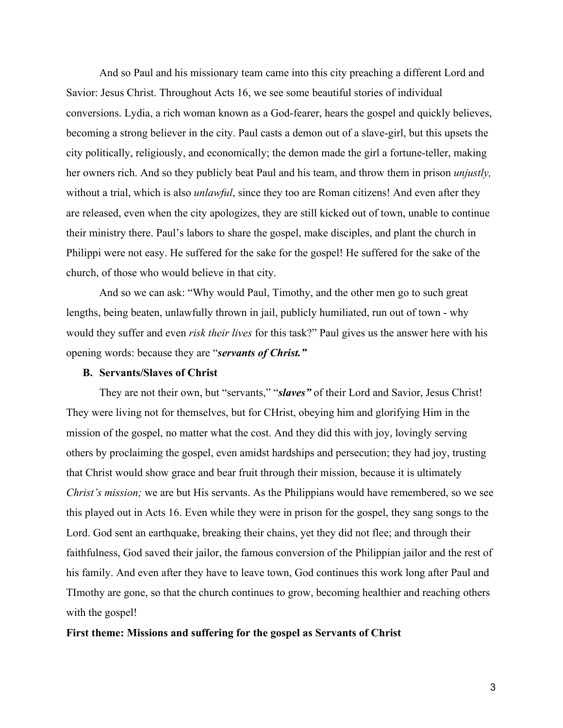And so Paul and his missionary team came into this city preaching a different Lord and Savior: Jesus Christ. Throughout Acts 16, we see some beautiful stories of individual conversions. Lydia, a rich woman known as a God-fearer, hears the gospel and quickly believes, becoming a strong believer in the city. Paul casts a demon out of a slave-girl, but this upsets the city politically, religiously, and economically; the demon made the girl a fortune-teller, making her owners rich. And so they publicly beat Paul and his team, and throw them in prison *unjustly,* without a trial, which is also *unlawful*, since they too are Roman citizens! And even after they are released, even when the city apologizes, they are still kicked out of town, unable to continue their ministry there. Paul's labors to share the gospel, make disciples, and plant the church in Philippi were not easy. He suffered for the sake for the gospel! He suffered for the sake of the church, of those who would believe in that city.

And so we can ask: "Why would Paul, Timothy, and the other men go to such great lengths, being beaten, unlawfully thrown in jail, publicly humiliated, run out of town - why would they suffer and even *risk their lives* for this task?" Paul gives us the answer here with his opening words: because they are "*servants of Christ."*

#### **B. Servants/Slaves of Christ**

They are not their own, but "servants," "*slaves"* of their Lord and Savior, Jesus Christ! They were living not for themselves, but for CHrist, obeying him and glorifying Him in the mission of the gospel, no matter what the cost. And they did this with joy, lovingly serving others by proclaiming the gospel, even amidst hardships and persecution; they had joy, trusting that Christ would show grace and bear fruit through their mission, because it is ultimately *Christ's mission;* we are but His servants. As the Philippians would have remembered, so we see this played out in Acts 16. Even while they were in prison for the gospel, they sang songs to the Lord. God sent an earthquake, breaking their chains, yet they did not flee; and through their faithfulness, God saved their jailor, the famous conversion of the Philippian jailor and the rest of his family. And even after they have to leave town, God continues this work long after Paul and TImothy are gone, so that the church continues to grow, becoming healthier and reaching others with the gospel!

#### **First theme: Missions and suffering for the gospel as Servants of Christ**

3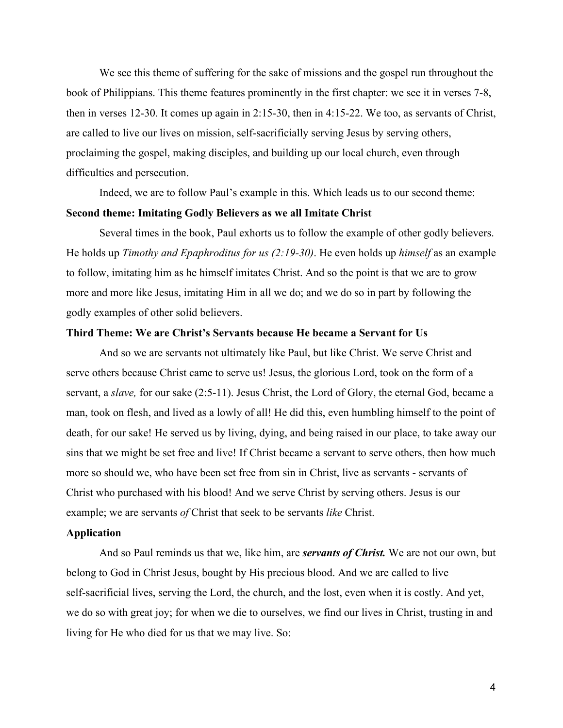We see this theme of suffering for the sake of missions and the gospel run throughout the book of Philippians. This theme features prominently in the first chapter: we see it in verses 7-8, then in verses 12-30. It comes up again in 2:15-30, then in 4:15-22. We too, as servants of Christ, are called to live our lives on mission, self-sacrificially serving Jesus by serving others, proclaiming the gospel, making disciples, and building up our local church, even through difficulties and persecution.

Indeed, we are to follow Paul's example in this. Which leads us to our second theme: **Second theme: Imitating Godly Believers as we all Imitate Christ**

Several times in the book, Paul exhorts us to follow the example of other godly believers. He holds up *Timothy and Epaphroditus for us (2:19-30)*. He even holds up *himself* as an example to follow, imitating him as he himself imitates Christ. And so the point is that we are to grow more and more like Jesus, imitating Him in all we do; and we do so in part by following the godly examples of other solid believers.

# **Third Theme: We are Christ's Servants because He became a Servant for Us**

And so we are servants not ultimately like Paul, but like Christ. We serve Christ and serve others because Christ came to serve us! Jesus, the glorious Lord, took on the form of a servant, a *slave,* for our sake (2:5-11). Jesus Christ, the Lord of Glory, the eternal God, became a man, took on flesh, and lived as a lowly of all! He did this, even humbling himself to the point of death, for our sake! He served us by living, dying, and being raised in our place, to take away our sins that we might be set free and live! If Christ became a servant to serve others, then how much more so should we, who have been set free from sin in Christ, live as servants - servants of Christ who purchased with his blood! And we serve Christ by serving others. Jesus is our example; we are servants *of* Christ that seek to be servants *like* Christ.

### **Application**

And so Paul reminds us that we, like him, are *servants of Christ.* We are not our own, but belong to God in Christ Jesus, bought by His precious blood. And we are called to live self-sacrificial lives, serving the Lord, the church, and the lost, even when it is costly. And yet, we do so with great joy; for when we die to ourselves, we find our lives in Christ, trusting in and living for He who died for us that we may live. So: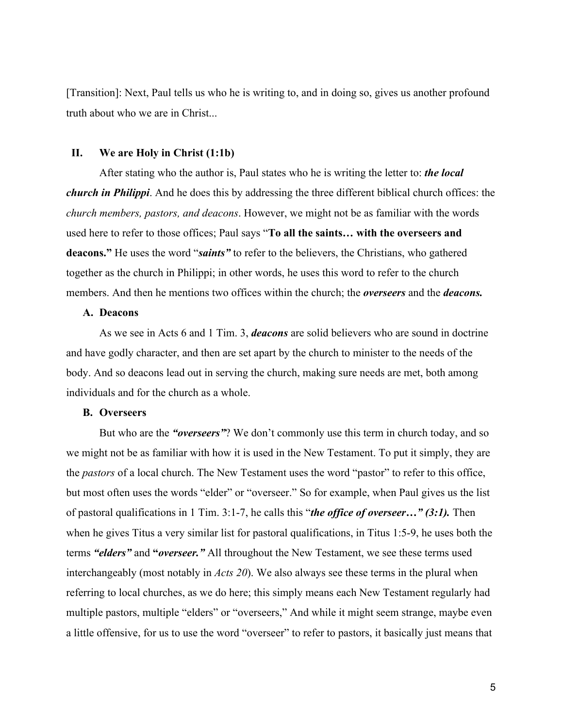[Transition]: Next, Paul tells us who he is writing to, and in doing so, gives us another profound truth about who we are in Christ...

# **II. We are Holy in Christ (1:1b)**

After stating who the author is, Paul states who he is writing the letter to: *the local church in Philippi*. And he does this by addressing the three different biblical church offices: the *church members, pastors, and deacons*. However, we might not be as familiar with the words used here to refer to those offices; Paul says "**To all the saints… with the overseers and deacons."** He uses the word "*saints"* to refer to the believers, the Christians, who gathered together as the church in Philippi; in other words, he uses this word to refer to the church members. And then he mentions two offices within the church; the *overseers* and the *deacons.*

## **A. Deacons**

As we see in Acts 6 and 1 Tim. 3, *deacons* are solid believers who are sound in doctrine and have godly character, and then are set apart by the church to minister to the needs of the body. And so deacons lead out in serving the church, making sure needs are met, both among individuals and for the church as a whole.

# **B. Overseers**

But who are the *"overseers"*? We don't commonly use this term in church today, and so we might not be as familiar with how it is used in the New Testament. To put it simply, they are the *pastors* of a local church. The New Testament uses the word "pastor" to refer to this office, but most often uses the words "elder" or "overseer." So for example, when Paul gives us the list of pastoral qualifications in 1 Tim. 3:1-7, he calls this "*the office of overseer…" (3:1).* Then when he gives Titus a very similar list for pastoral qualifications, in Titus 1:5-9, he uses both the terms *"elders"* and **"***overseer."* All throughout the New Testament, we see these terms used interchangeably (most notably in *Acts 20*). We also always see these terms in the plural when referring to local churches, as we do here; this simply means each New Testament regularly had multiple pastors, multiple "elders" or "overseers," And while it might seem strange, maybe even a little offensive, for us to use the word "overseer" to refer to pastors, it basically just means that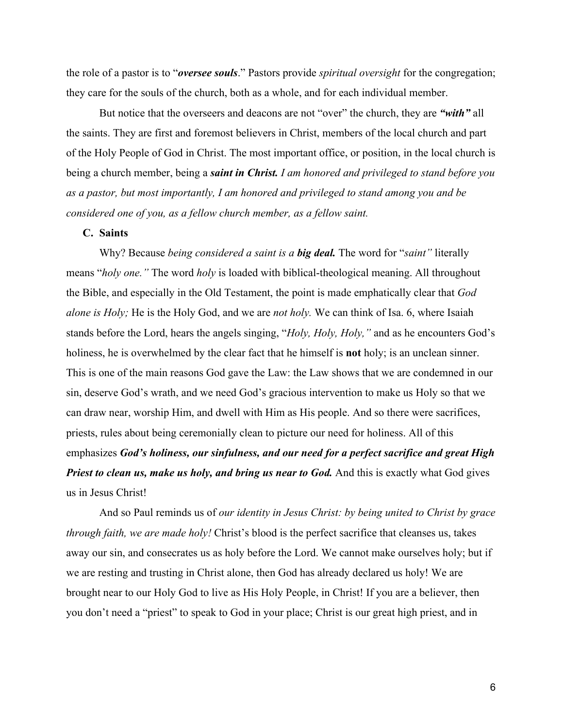the role of a pastor is to "*oversee souls*." Pastors provide *spiritual oversight* for the congregation; they care for the souls of the church, both as a whole, and for each individual member.

But notice that the overseers and deacons are not "over" the church, they are *"with"* all the saints. They are first and foremost believers in Christ, members of the local church and part of the Holy People of God in Christ. The most important office, or position, in the local church is being a church member, being a *saint in Christ. I am honored and privileged to stand before you as a pastor, but most importantly, I am honored and privileged to stand among you and be considered one of you, as a fellow church member, as a fellow saint.*

### **C. Saints**

Why? Because *being considered a saint is a big deal.* The word for "*saint"* literally means "*holy one."* The word *holy* is loaded with biblical-theological meaning. All throughout the Bible, and especially in the Old Testament, the point is made emphatically clear that *God alone is Holy;* He is the Holy God, and we are *not holy.* We can think of Isa. 6, where Isaiah stands before the Lord, hears the angels singing, "*Holy, Holy, Holy,"* and as he encounters God's holiness, he is overwhelmed by the clear fact that he himself is **not** holy; is an unclean sinner. This is one of the main reasons God gave the Law: the Law shows that we are condemned in our sin, deserve God's wrath, and we need God's gracious intervention to make us Holy so that we can draw near, worship Him, and dwell with Him as His people. And so there were sacrifices, priests, rules about being ceremonially clean to picture our need for holiness. All of this emphasizes *God's holiness, our sinfulness, and our need for a perfect sacrifice and great High Priest to clean us, make us holy, and bring us near to God.* And this is exactly what God gives us in Jesus Christ!

And so Paul reminds us of *our identity in Jesus Christ: by being united to Christ by grace through faith, we are made holy!* Christ's blood is the perfect sacrifice that cleanses us, takes away our sin, and consecrates us as holy before the Lord. We cannot make ourselves holy; but if we are resting and trusting in Christ alone, then God has already declared us holy! We are brought near to our Holy God to live as His Holy People, in Christ! If you are a believer, then you don't need a "priest" to speak to God in your place; Christ is our great high priest, and in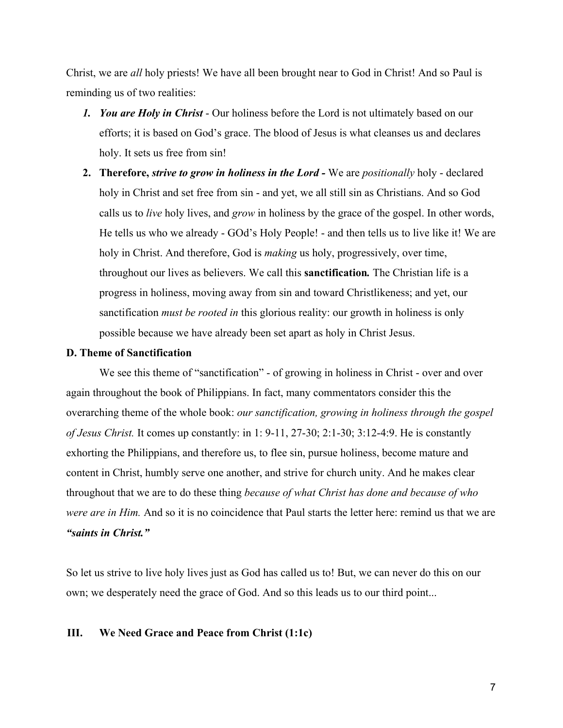Christ, we are *all* holy priests! We have all been brought near to God in Christ! And so Paul is reminding us of two realities:

- *1. You are Holy in Christ* Our holiness before the Lord is not ultimately based on our efforts; it is based on God's grace. The blood of Jesus is what cleanses us and declares holy. It sets us free from sin!
- **2. Therefore,** *strive to grow in holiness in the Lord* We are *positionally* holy declared holy in Christ and set free from sin - and yet, we all still sin as Christians. And so God calls us to *live* holy lives, and *grow* in holiness by the grace of the gospel. In other words, He tells us who we already - GOd's Holy People! - and then tells us to live like it! We are holy in Christ. And therefore, God is *making* us holy, progressively, over time, throughout our lives as believers. We call this **sanctification***.* The Christian life is a progress in holiness, moving away from sin and toward Christlikeness; and yet, our sanctification *must be rooted in* this glorious reality: our growth in holiness is only possible because we have already been set apart as holy in Christ Jesus.

#### **D. Theme of Sanctification**

We see this theme of "sanctification" - of growing in holiness in Christ - over and over again throughout the book of Philippians. In fact, many commentators consider this the overarching theme of the whole book: *our sanctification, growing in holiness through the gospel of Jesus Christ.* It comes up constantly: in 1: 9-11, 27-30; 2:1-30; 3:12-4:9. He is constantly exhorting the Philippians, and therefore us, to flee sin, pursue holiness, become mature and content in Christ, humbly serve one another, and strive for church unity. And he makes clear throughout that we are to do these thing *because of what Christ has done and because of who were are in Him.* And so it is no coincidence that Paul starts the letter here: remind us that we are *"saints in Christ."*

So let us strive to live holy lives just as God has called us to! But, we can never do this on our own; we desperately need the grace of God. And so this leads us to our third point...

# **III. We Need Grace and Peace from Christ (1:1c)**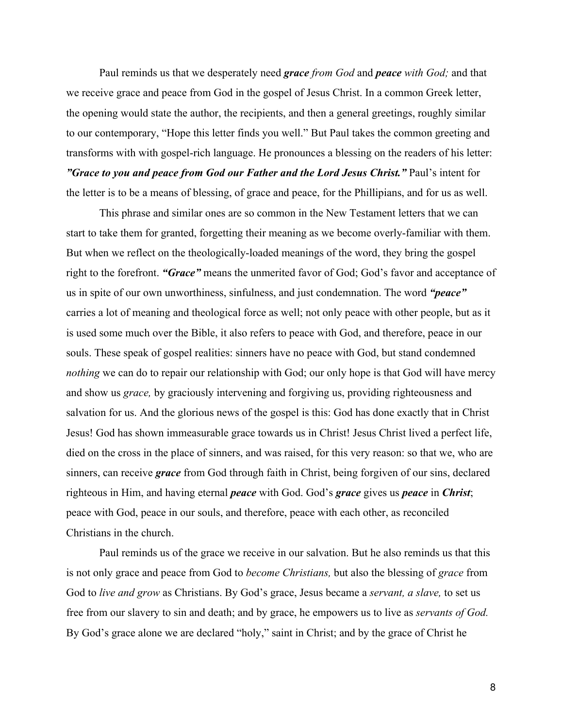Paul reminds us that we desperately need *grace from God* and *peace with God;* and that we receive grace and peace from God in the gospel of Jesus Christ. In a common Greek letter, the opening would state the author, the recipients, and then a general greetings, roughly similar to our contemporary, "Hope this letter finds you well." But Paul takes the common greeting and transforms with with gospel-rich language. He pronounces a blessing on the readers of his letter: *"Grace to you and peace from God our Father and the Lord Jesus Christ."* Paul's intent for the letter is to be a means of blessing, of grace and peace, for the Phillipians, and for us as well.

This phrase and similar ones are so common in the New Testament letters that we can start to take them for granted, forgetting their meaning as we become overly-familiar with them. But when we reflect on the theologically-loaded meanings of the word, they bring the gospel right to the forefront. *"Grace"* means the unmerited favor of God; God's favor and acceptance of us in spite of our own unworthiness, sinfulness, and just condemnation. The word *"peace"* carries a lot of meaning and theological force as well; not only peace with other people, but as it is used some much over the Bible, it also refers to peace with God, and therefore, peace in our souls. These speak of gospel realities: sinners have no peace with God, but stand condemned *nothing* we can do to repair our relationship with God; our only hope is that God will have mercy and show us *grace,* by graciously intervening and forgiving us, providing righteousness and salvation for us. And the glorious news of the gospel is this: God has done exactly that in Christ Jesus! God has shown immeasurable grace towards us in Christ! Jesus Christ lived a perfect life, died on the cross in the place of sinners, and was raised, for this very reason: so that we, who are sinners, can receive *grace* from God through faith in Christ, being forgiven of our sins, declared righteous in Him, and having eternal *peace* with God. God's *grace* gives us *peace* in *Christ*; peace with God, peace in our souls, and therefore, peace with each other, as reconciled Christians in the church.

Paul reminds us of the grace we receive in our salvation. But he also reminds us that this is not only grace and peace from God to *become Christians,* but also the blessing of *grace* from God to *live and grow* as Christians. By God's grace, Jesus became a *servant, a slave,* to set us free from our slavery to sin and death; and by grace, he empowers us to live as *servants of God.* By God's grace alone we are declared "holy," saint in Christ; and by the grace of Christ he

8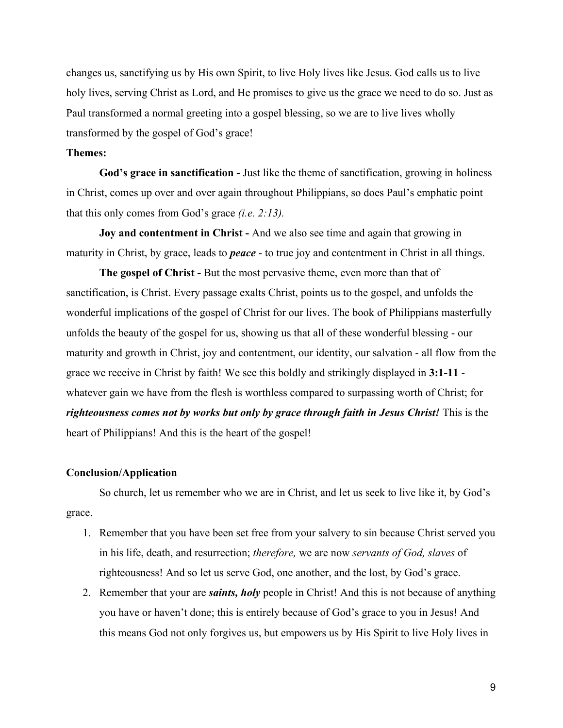changes us, sanctifying us by His own Spirit, to live Holy lives like Jesus. God calls us to live holy lives, serving Christ as Lord, and He promises to give us the grace we need to do so. Just as Paul transformed a normal greeting into a gospel blessing, so we are to live lives wholly transformed by the gospel of God's grace!

### **Themes:**

**God's grace in sanctification -** Just like the theme of sanctification, growing in holiness in Christ, comes up over and over again throughout Philippians, so does Paul's emphatic point that this only comes from God's grace *(i.e. 2:13).*

**Joy and contentment in Christ -** And we also see time and again that growing in maturity in Christ, by grace, leads to *peace* - to true joy and contentment in Christ in all things.

**The gospel of Christ - But the most pervasive theme, even more than that of** sanctification, is Christ. Every passage exalts Christ, points us to the gospel, and unfolds the wonderful implications of the gospel of Christ for our lives. The book of Philippians masterfully unfolds the beauty of the gospel for us, showing us that all of these wonderful blessing - our maturity and growth in Christ, joy and contentment, our identity, our salvation - all flow from the grace we receive in Christ by faith! We see this boldly and strikingly displayed in **3:1-11** whatever gain we have from the flesh is worthless compared to surpassing worth of Christ; for *righteousness comes not by works but only by grace through faith in Jesus Christ!* This is the heart of Philippians! And this is the heart of the gospel!

#### **Conclusion/Application**

So church, let us remember who we are in Christ, and let us seek to live like it, by God's grace.

- 1. Remember that you have been set free from your salvery to sin because Christ served you in his life, death, and resurrection; *therefore,* we are now *servants of God, slaves* of righteousness! And so let us serve God, one another, and the lost, by God's grace.
- 2. Remember that your are *saints, holy* people in Christ! And this is not because of anything you have or haven't done; this is entirely because of God's grace to you in Jesus! And this means God not only forgives us, but empowers us by His Spirit to live Holy lives in